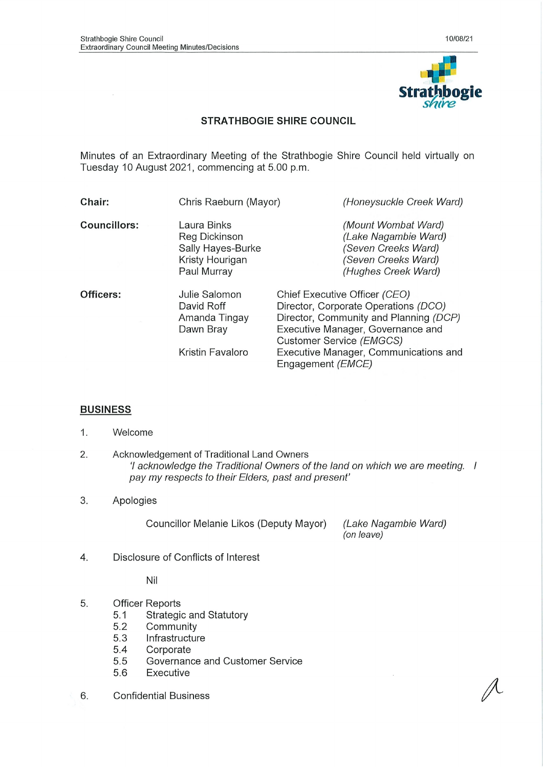

## STRATHBOGIE SHIRE COUNCIL

Minutes of an Extraordinary Meeting of the Strathbogie Shire Council held virtually on Tuesday 10 August 2021, commencing at 5.00 p.m.

| Chair:              | Chris Raeburn (Mayor)                                                               | (Honeysuckle Creek Ward)                                                                                                                                                                                                                                |
|---------------------|-------------------------------------------------------------------------------------|---------------------------------------------------------------------------------------------------------------------------------------------------------------------------------------------------------------------------------------------------------|
| <b>Councillors:</b> | Laura Binks<br>Reg Dickinson<br>Sally Hayes-Burke<br>Kristy Hourigan<br>Paul Murray | (Mount Wombat Ward)<br>(Lake Nagambie Ward)<br>(Seven Creeks Ward)<br>(Seven Creeks Ward)<br>(Hughes Creek Ward)                                                                                                                                        |
| Officers:           | Julie Salomon<br>David Roff<br>Amanda Tingay<br>Dawn Bray<br>Kristin Favaloro       | Chief Executive Officer (CEO)<br>Director, Corporate Operations (DCO)<br>Director, Community and Planning (DCP)<br>Executive Manager, Governance and<br>Customer Service (EMGCS)<br>Executive Manager, Communications and<br>Engagement ( <i>EMCE</i> ) |

### **BUSINESS**

- 1. Welcome
- 2. Acknowledgement of Traditional Land Owners 7 acknowledge the Traditional Owners of the land on which we are meeting. I pay my respects to their Elders, past and present'

#### 3. Apologies

Councillor Melanie Likos (Deputy Mayor) (Lake Nagambie Ward)

(on leave)

4. Disclosure of Conflicts of Interest

Nil

- 5. Officer Reports
	- 5.1 Strategic and Statutory
	- 5.2 Community
	- 5.3 Infrastructure
	- 5.4 Corporate
	- 5.5 Governance and Customer Service
	- 5.6 Executive
- 6. Confidential Business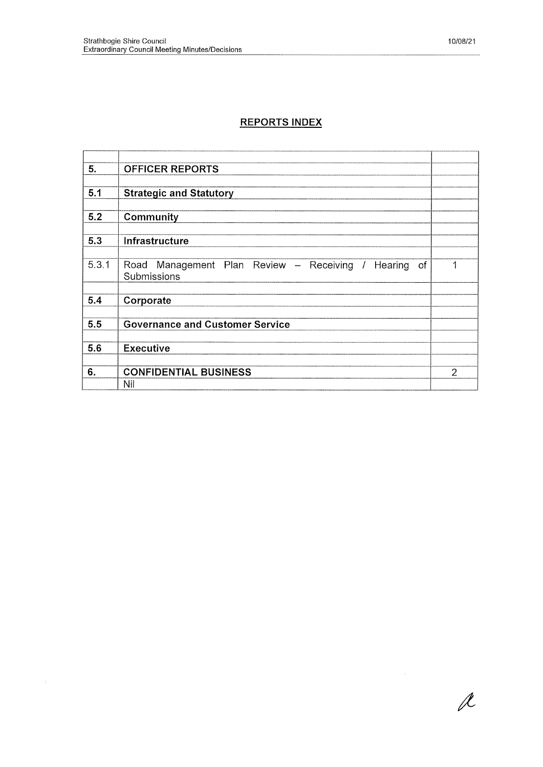# REPORTS INDEX

| 5.    | <b>OFFICER REPORTS</b>                                  |   |
|-------|---------------------------------------------------------|---|
|       |                                                         |   |
| 5.1   | <b>Strategic and Statutory</b>                          |   |
|       |                                                         |   |
| 5.2   | Community                                               |   |
|       |                                                         |   |
| 5.3   | Infrastructure                                          |   |
|       |                                                         |   |
| 5.3.1 | Road Management Plan Review - Receiving / Hearing<br>of | 1 |
|       | Submissions                                             |   |
|       |                                                         |   |
| 5.4   | Corporate                                               |   |
|       |                                                         |   |
| 5.5   | <b>Governance and Customer Service</b>                  |   |
|       |                                                         |   |
| 5.6   | <b>Executive</b>                                        |   |
|       |                                                         |   |
| 6.    | <b>CONFIDENTIAL BUSINESS</b>                            | 2 |
|       | Nil                                                     |   |

 $\overline{\mathscr{X}}$ 

 $\mathcal{H}_{\mathrm{c}}$  ,  $\mathcal{H}_{\mathrm{c}}$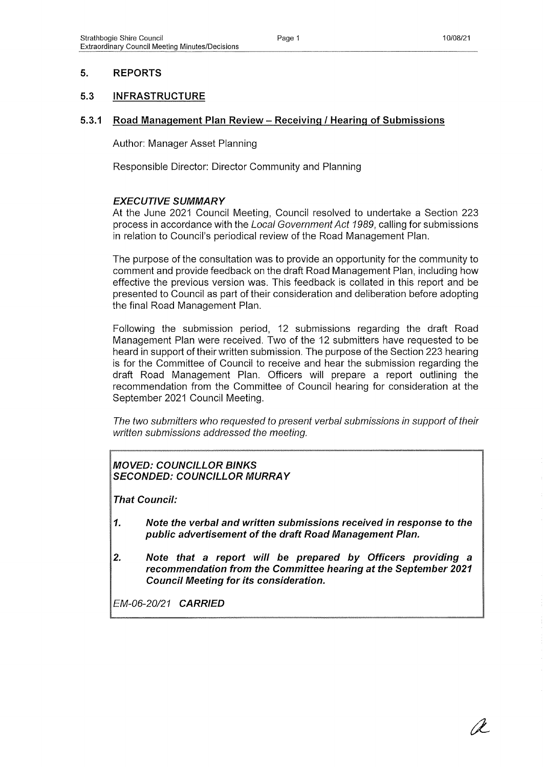## 5. REPORTS

### 5.3 INFRASTRUCTURE

#### 5.3.1 Road Manaaement Plan Review - Receivina / Hearina of Submissions

Author: Manager Asset Planning

Responsible Director: Director Community and Planning

### EXECUTIVE SUMMARY

At the June 2021 Council Meeting, Council resolved to undertake a Section 223 process in accordance with the Local Government Act 1989, calling for submissions in relation to Council's periodical review of the Road Management Plan.

The purpose of the consultation was to provide an opportunity for the community to comment and provide feedback on the draft Road Management Plan, including how effective the previous version was. This feedback is collated in this report and be presented to Council as part of their consideration and deliberation before adopting the final Road Management Plan.

Following the submission period, 12 submissions regarding the draft Road Management Plan were received. Two of the 12 submitters have requested to be heard in support of their written submission. The purpose of the Section 223 hearing is for the Committee of Council to receive and hear the submission regarding the draft Road Management Plan. Officers will prepare a report outlining the recommendation from the Committee of Council hearing for consideration at the September 2021 Council Meeting.

The two submitters who requested to present verbal submissions in support of their written submissions addressed the meeting.

## MOVED: COUNCILLOR BINKS SECONDED: COUNCILLOR MURRAY

That Council:

- 1. Note the verbal and written submissions received in response to the public advertisement of the draft Road Management Plan.
- 2. Note that a report will be prepared by Officers providing a recommendation from the Committee hearing at the September 2021 Council Meeting for its consideration.

EM-06-20/21 CARRIED

(d